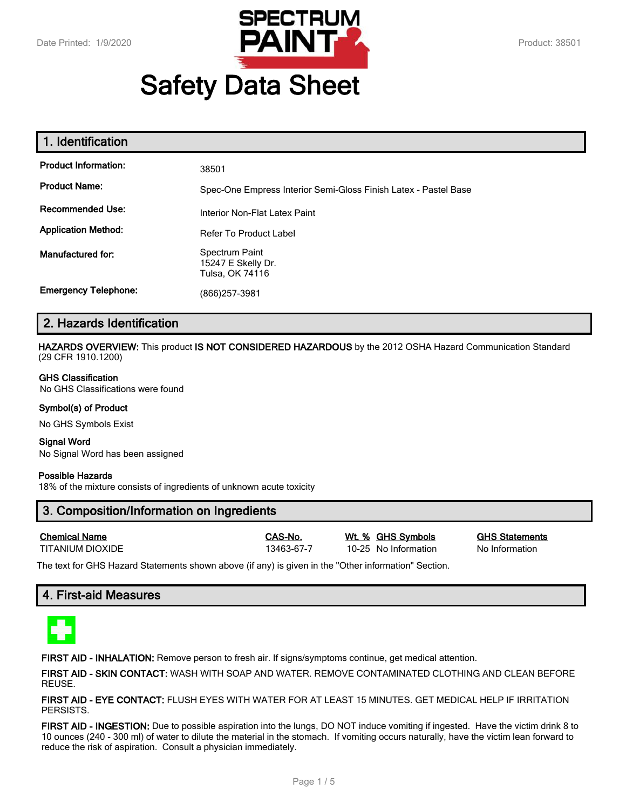

# **Safety Data Sheet**

| 1. Identification           |                                                                 |
|-----------------------------|-----------------------------------------------------------------|
| <b>Product Information:</b> | 38501                                                           |
| <b>Product Name:</b>        | Spec-One Empress Interior Semi-Gloss Finish Latex - Pastel Base |
| <b>Recommended Use:</b>     | Interior Non-Flat Latex Paint                                   |
| <b>Application Method:</b>  | <b>Refer To Product Label</b>                                   |
| Manufactured for:           | Spectrum Paint<br>15247 E Skelly Dr.<br>Tulsa, OK 74116         |
| <b>Emergency Telephone:</b> | (866) 257-3981                                                  |

## **2. Hazards Identification**

**HAZARDS OVERVIEW:** This product **IS NOT CONSIDERED HAZARDOUS** by the 2012 OSHA Hazard Communication Standard (29 CFR 1910.1200)

#### **GHS Classification**

No GHS Classifications were found

#### **Symbol(s) of Product**

No GHS Symbols Exist

# **Signal Word**

No Signal Word has been assigned

#### **Possible Hazards**

18% of the mixture consists of ingredients of unknown acute toxicity

## **3. Composition/Information on Ingredients**

| <b>Chemical Name</b> |  |
|----------------------|--|
| TITANII IM DIOXIDE   |  |

13463-67-7 10-25 No Information No Information

**Chemical Name CAS-No. Wt. % GHS Symbols GHS Statements**

The text for GHS Hazard Statements shown above (if any) is given in the "Other information" Section.

## **4. First-aid Measures**



**FIRST AID - INHALATION:** Remove person to fresh air. If signs/symptoms continue, get medical attention.

**FIRST AID - SKIN CONTACT:** WASH WITH SOAP AND WATER. REMOVE CONTAMINATED CLOTHING AND CLEAN BEFORE REUSE.

**FIRST AID - EYE CONTACT:** FLUSH EYES WITH WATER FOR AT LEAST 15 MINUTES. GET MEDICAL HELP IF IRRITATION PERSISTS.

**FIRST AID - INGESTION:** Due to possible aspiration into the lungs, DO NOT induce vomiting if ingested. Have the victim drink 8 to 10 ounces (240 - 300 ml) of water to dilute the material in the stomach. If vomiting occurs naturally, have the victim lean forward to reduce the risk of aspiration. Consult a physician immediately.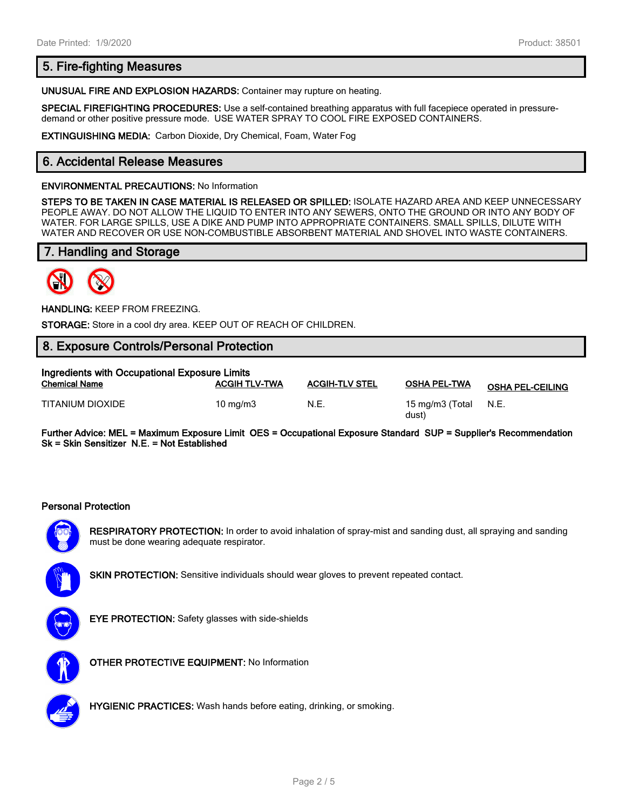## **5. Fire-fighting Measures**

**UNUSUAL FIRE AND EXPLOSION HAZARDS:** Container may rupture on heating.

**SPECIAL FIREFIGHTING PROCEDURES:** Use a self-contained breathing apparatus with full facepiece operated in pressuredemand or other positive pressure mode. USE WATER SPRAY TO COOL FIRE EXPOSED CONTAINERS.

**EXTINGUISHING MEDIA:** Carbon Dioxide, Dry Chemical, Foam, Water Fog

## **6. Accidental Release Measures**

#### **ENVIRONMENTAL PRECAUTIONS:** No Information

**STEPS TO BE TAKEN IN CASE MATERIAL IS RELEASED OR SPILLED:** ISOLATE HAZARD AREA AND KEEP UNNECESSARY PEOPLE AWAY. DO NOT ALLOW THE LIQUID TO ENTER INTO ANY SEWERS, ONTO THE GROUND OR INTO ANY BODY OF WATER. FOR LARGE SPILLS, USE A DIKE AND PUMP INTO APPROPRIATE CONTAINERS. SMALL SPILLS, DILUTE WITH WATER AND RECOVER OR USE NON-COMBUSTIBLE ABSORBENT MATERIAL AND SHOVEL INTO WASTE CONTAINERS.

## **7. Handling and Storage**



**HANDLING:** KEEP FROM FREEZING.

**STORAGE:** Store in a cool dry area. KEEP OUT OF REACH OF CHILDREN.

## **8. Exposure Controls/Personal Protection**

| Ingredients with Occupational Exposure Limits |                      |                       |                          |                         |  |
|-----------------------------------------------|----------------------|-----------------------|--------------------------|-------------------------|--|
| <b>Chemical Name</b>                          | <b>ACGIH TLV-TWA</b> | <b>ACGIH-TLV STEL</b> | <b>OSHA PEL-TWA</b>      | <b>OSHA PEL-CEILING</b> |  |
| TITANIUM DIOXIDE                              | $10 \text{ ma/m}$ 3  | N.E.                  | 15 mg/m3 (Total<br>dust) | N.E.                    |  |

**Further Advice: MEL = Maximum Exposure Limit OES = Occupational Exposure Standard SUP = Supplier's Recommendation Sk = Skin Sensitizer N.E. = Not Established**

#### **Personal Protection**



**RESPIRATORY PROTECTION:** In order to avoid inhalation of spray-mist and sanding dust, all spraying and sanding must be done wearing adequate respirator.



**SKIN PROTECTION:** Sensitive individuals should wear gloves to prevent repeated contact.



**EYE PROTECTION:** Safety glasses with side-shields



**OTHER PROTECTIVE EQUIPMENT:** No Information



**HYGIENIC PRACTICES:** Wash hands before eating, drinking, or smoking.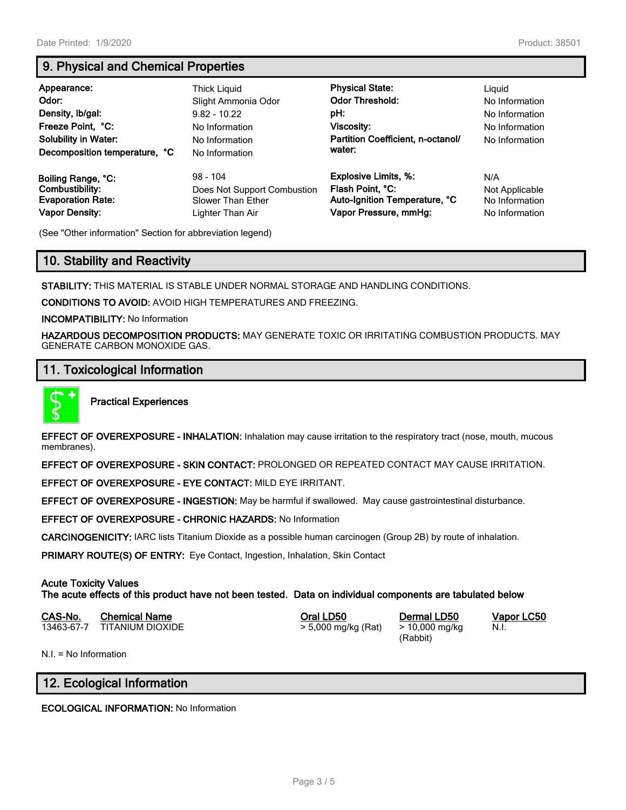# **9. Physical and Chemical Properties**

| Appearance:<br>Odor:<br>Density, Ib/gal:<br>Freeze Point, °C:<br><b>Solubility in Water:</b><br>Decomposition temperature, °C | <b>Thick Liguid</b><br>Slight Ammonia Odor<br>$9.82 - 10.22$<br>No Information<br>No Information<br>No Information | <b>Physical State:</b><br><b>Odor Threshold:</b><br>pH:<br>Viscosity:<br>Partition Coefficient, n-octanol/<br>water: | Liguid<br>No Information<br>No Information<br>No Information<br>No Information |
|-------------------------------------------------------------------------------------------------------------------------------|--------------------------------------------------------------------------------------------------------------------|----------------------------------------------------------------------------------------------------------------------|--------------------------------------------------------------------------------|
| Boiling Range, °C:                                                                                                            | $98 - 104$                                                                                                         | <b>Explosive Limits, %:</b>                                                                                          | N/A                                                                            |
| Combustibility:                                                                                                               | Does Not Support Combustion                                                                                        | Flash Point, °C:                                                                                                     | Not Applicable                                                                 |
| <b>Evaporation Rate:</b>                                                                                                      | <b>Slower Than Ether</b>                                                                                           | Auto-Ignition Temperature, °C                                                                                        | No Information                                                                 |
| <b>Vapor Density:</b>                                                                                                         | Lighter Than Air                                                                                                   | Vapor Pressure, mmHg:                                                                                                | No Information                                                                 |

(See "Other information" Section for abbreviation legend)

## **10. Stability and Reactivity**

**STABILITY:** THIS MATERIAL IS STABLE UNDER NORMAL STORAGE AND HANDLING CONDITIONS.

**CONDITIONS TO AVOID:** AVOID HIGH TEMPERATURES AND FREEZING.

**INCOMPATIBILITY:** No Information

**HAZARDOUS DECOMPOSITION PRODUCTS:** MAY GENERATE TOXIC OR IRRITATING COMBUSTION PRODUCTS. MAY GENERATE CARBON MONOXIDE GAS.

## **11. Toxicological Information**



**Practical Experiences**

**EFFECT OF OVEREXPOSURE - INHALATION:** Inhalation may cause irritation to the respiratory tract (nose, mouth, mucous membranes).

**EFFECT OF OVEREXPOSURE - SKIN CONTACT:** PROLONGED OR REPEATED CONTACT MAY CAUSE IRRITATION.

**EFFECT OF OVEREXPOSURE - EYE CONTACT:** MILD EYE IRRITANT.

**EFFECT OF OVEREXPOSURE - INGESTION:** May be harmful if swallowed. May cause gastrointestinal disturbance.

**EFFECT OF OVEREXPOSURE - CHRONIC HAZARDS:** No Information

**CARCINOGENICITY:** IARC lists Titanium Dioxide as a possible human carcinogen (Group 2B) by route of inhalation.

**PRIMARY ROUTE(S) OF ENTRY:** Eye Contact, Ingestion, Inhalation, Skin Contact

#### **Acute Toxicity Values**

**The acute effects of this product have not been tested. Data on individual components are tabulated below**

| CAS-No. | <b>Chemical Name</b>        | Oral LD50           | Dermal LD50    |
|---------|-----------------------------|---------------------|----------------|
|         | 13463-67-7 TITANIUM DIOXIDE | > 5,000 mg/kg (Rat) | > 10,000 mg/kg |

(Rabbit)

**CAS-No. Chemical Name Oral LD50 Dermal LD50 Vapor LC50** N.I.

N.I. = No Information

## **12. Ecological Information**

**ECOLOGICAL INFORMATION:** No Information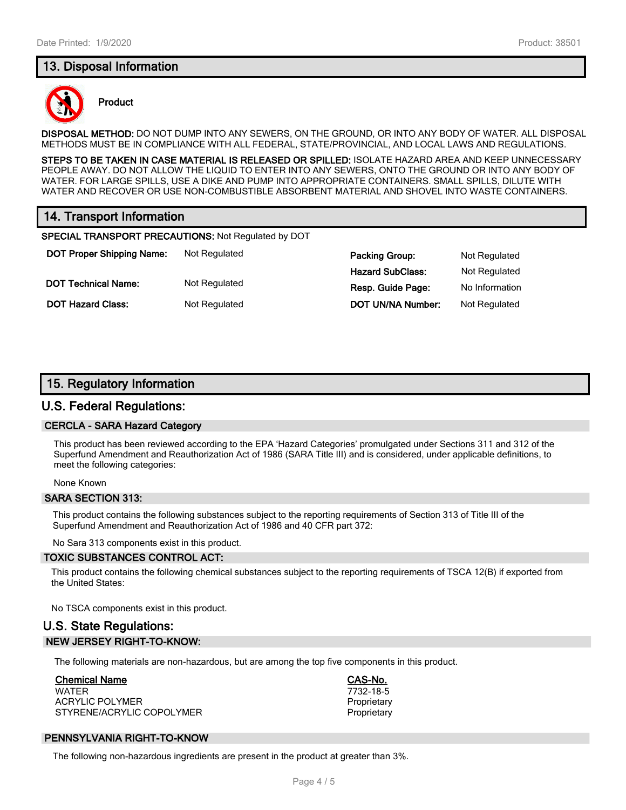## **13. Disposal Information**



#### **Product**

**DISPOSAL METHOD:** DO NOT DUMP INTO ANY SEWERS, ON THE GROUND, OR INTO ANY BODY OF WATER. ALL DISPOSAL METHODS MUST BE IN COMPLIANCE WITH ALL FEDERAL, STATE/PROVINCIAL, AND LOCAL LAWS AND REGULATIONS.

**STEPS TO BE TAKEN IN CASE MATERIAL IS RELEASED OR SPILLED:** ISOLATE HAZARD AREA AND KEEP UNNECESSARY PEOPLE AWAY. DO NOT ALLOW THE LIQUID TO ENTER INTO ANY SEWERS, ONTO THE GROUND OR INTO ANY BODY OF WATER. FOR LARGE SPILLS, USE A DIKE AND PUMP INTO APPROPRIATE CONTAINERS. SMALL SPILLS, DILUTE WITH WATER AND RECOVER OR USE NON-COMBUSTIBLE ABSORBENT MATERIAL AND SHOVEL INTO WASTE CONTAINERS.

## **14. Transport Information**

**SPECIAL TRANSPORT PRECAUTIONS:** Not Regulated by DOT

**DOT Proper Shipping Name:** Not Regulated **Packing Group:** Not Regulated **Packing Group:** Not Regulated **DOT Technical Name:** Not Regulated **Resp. Guide Page:** No Information

**Hazard SubClass:** Not Regulated **DOT Hazard Class:** Not Regulated **DOT UN/NA Number:** Not Regulated

## **15. Regulatory Information**

#### **U.S. Federal Regulations:**

#### **CERCLA - SARA Hazard Category**

This product has been reviewed according to the EPA 'Hazard Categories' promulgated under Sections 311 and 312 of the Superfund Amendment and Reauthorization Act of 1986 (SARA Title III) and is considered, under applicable definitions, to meet the following categories:

None Known

#### **SARA SECTION 313:**

This product contains the following substances subject to the reporting requirements of Section 313 of Title III of the Superfund Amendment and Reauthorization Act of 1986 and 40 CFR part 372:

No Sara 313 components exist in this product.

#### **TOXIC SUBSTANCES CONTROL ACT:**

This product contains the following chemical substances subject to the reporting requirements of TSCA 12(B) if exported from the United States:

No TSCA components exist in this product.

## **U.S. State Regulations: NEW JERSEY RIGHT-TO-KNOW:**

The following materials are non-hazardous, but are among the top five components in this product.

#### **Chemical Name CAS-No.**

WATER 7732-18-5 ACRYLIC POLYMER **PROPRIET ACRYLIC POLYMER** STYRENE/ACRYLIC COPOLYMER **Proprietary** Proprietary

## **PENNSYLVANIA RIGHT-TO-KNOW**

The following non-hazardous ingredients are present in the product at greater than 3%.